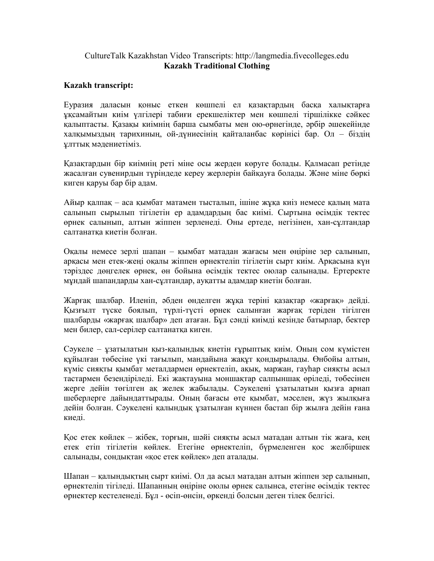## CultureTalk Kazakhstan Video Transcripts: http://langmedia.fivecolleges.edu Kazakh Traditional Clothing

## Kazakh transcript:

Еуразия даласын қоныс еткен көшпелі ел қазақтардың басқа халықтарға ұқсамайтын киім үлгілері табиғи ерекшеліктер мен көшпелі тіршілікке сəйкес қалыптасты. Қазақы киімнің барша сымбаты мен ою-өрнегінде, əрбір əшекейінде халқымыздың тарихиның, ой-дүниесінің қайталанбас көрінісі бар. Ол – біздің ұлттық мəдениетіміз.

Қазақтардын бір киімнің реті міне осы жерден көруге болады. Қалмасап ретінде жасалған сувенирдын түріндеде кереу жерлерін байқауға болады. Жəне міне бөркі киген қаруы бар бір адам.

Айыр қалпақ – аса қымбат матамен тысталып, ішіне жұқа киіз немесе қалың мата салынып сырылып тігілетін ер адамдардың бас киімі. Сыртына өсімдік тектес өрнек салынып, алтын жіппен зерленеді. Оны ертеде, негізінен, хан-сұлтандар салтанатқа киетін болған.

Оқалы немесе зерлі шапан – қымбат матадан жағасы мен өңіріне зер салынып, арқасы мен етек-жеңі оқалы жіппен өрнектеліп тігілетін сырт киім. Арқасына күн тəріздес дөңгелек өрнек, өн бойына өсімдік тектес оюлар салынады. Ертеректе мұндай шапандарды хан-сұлтандар, ауқатты адамдар киетін болған.

Жарғақ шалбар. Иленіп, əбден өнделген жұқа теріні қазақтар «жарғақ» дейді. Қызғылт түске боялып, түрлі-түсті өрнек салынған жарғақ теріден тігілген шалбарды «жарғақ шалбар» деп атаған. Бұл сəнді киімді кезінде батырлар, бектер мен билер, сал-серілер салтанатқа киген.

Сəукеле – ұзатылатын қыз-қалындық киетін ғұрыптық киім. Оның сом күмістен құйылған төбесіне үкі тағылып, мандайына жақұт қондырылады. Өнбойы алтын, күміс сияқты қымбат металдармен өрнектеліп, ақық, маржан, гауһар сияқты асыл тастармен безендіріледі. Екі жақтауына моншақтар салпыншақ өріледі, төбесінен жерге дейін төгілген ақ желек жабылады. Сəукелені ұзатылатын қызға арнап шеберлерге дайындаттырады. Оның бағасы өте қымбат, мəселен, жүз жылқыға дейін болған. Сəукелені қалындық ұзатылған күннен бастап бір жылға дейін ғана киеді.

Қос етек көйлек – жібек, торғын, шəйі сияқты асыл матадан алтын тік жаға, кең етек етіп тігілетін көйлек. Етегіне өрнектеліп, бүрмеленген қос желбіршек салынады, сондықтан «қос етек көйлек» деп аталады.

Шапан – қалындықтың сырт киімі. Ол да асыл матадан алтын жіппен зер салынып, өрнектеліп тігіледі. Шапанның өңіріне оюлы өрнек салынса, етегіне өсімдік тектес өрнектер кестеленеді. Бұл - өсіп-өнсін, өркенді болсын деген тілек белгісі.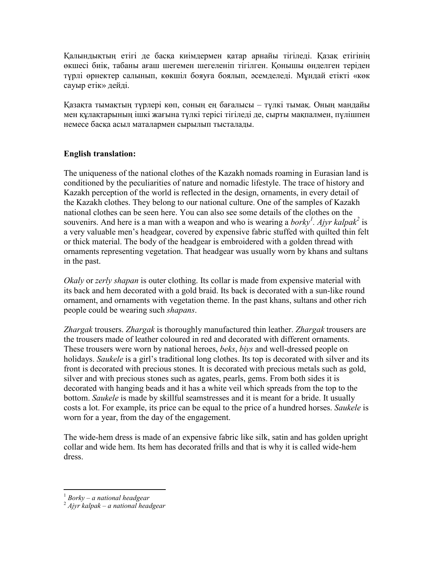Қалындықтың етігі де басқа киімдермен қатар арнайы тігіледі. Қазақ етігінің өкшесі биік, табаны ағаш шегемен шегеленіп тігілген. Қонышы өнделген теріден түрлі өрнектер салынып, көкшіл бояуға боялып, əсемделеді. Мұндай етікті «көк сауыр етік» дейді.

Қазақта тымақтың түрлері көп, соның ең бағалысы – түлкі тымақ. Оның мандайы мен құлақтарының ішкі жағына түлкі терісі тігіледі де, сырты мақпалмен, пүлішпен немесе басқа асыл маталармен сырылып тысталады.

## English translation:

The uniqueness of the national clothes of the Kazakh nomads roaming in Eurasian land is conditioned by the peculiarities of nature and nomadic lifestyle. The trace of history and Kazakh perception of the world is reflected in the design, ornaments, in every detail of the Kazakh clothes. They belong to our national culture. One of the samples of Kazakh national clothes can be seen here. You can also see some details of the clothes on the souvenirs. And here is a man with a weapon and who is wearing a *borky<sup>1</sup>*. Ajyr kalpak<sup>2</sup> is a very valuable men's headgear, covered by expensive fabric stuffed with quilted thin felt or thick material. The body of the headgear is embroidered with a golden thread with ornaments representing vegetation. That headgear was usually worn by khans and sultans in the past.

Okaly or zerly shapan is outer clothing. Its collar is made from expensive material with its back and hem decorated with a gold braid. Its back is decorated with a sun-like round ornament, and ornaments with vegetation theme. In the past khans, sultans and other rich people could be wearing such shapans.

Zhargak trousers. Zhargak is thoroughly manufactured thin leather. Zhargak trousers are the trousers made of leather coloured in red and decorated with different ornaments. These trousers were worn by national heroes, *beks*, *biys* and well-dressed people on holidays. Saukele is a girl's traditional long clothes. Its top is decorated with silver and its front is decorated with precious stones. It is decorated with precious metals such as gold, silver and with precious stones such as agates, pearls, gems. From both sides it is decorated with hanging beads and it has a white veil which spreads from the top to the bottom. Saukele is made by skillful seamstresses and it is meant for a bride. It usually costs a lot. For example, its price can be equal to the price of a hundred horses. Saukele is worn for a year, from the day of the engagement.

The wide-hem dress is made of an expensive fabric like silk, satin and has golden upright collar and wide hem. Its hem has decorated frills and that is why it is called wide-hem dress.

 $\overline{a}$  $1$  Borky – a national headgear

 $2$  Ajyr kalpak – a national headgear